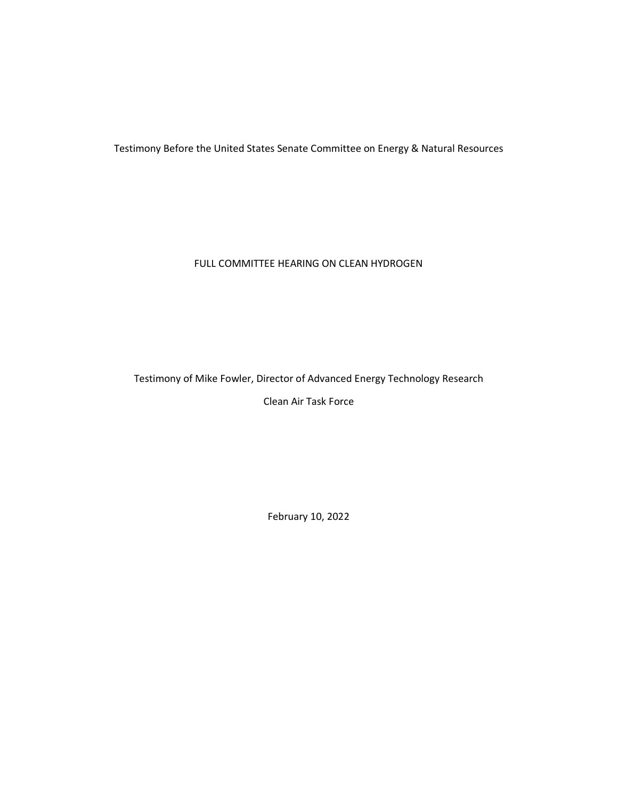Testimony Before the United States Senate Committee on Energy & Natural Resources

FULL COMMITTEE HEARING ON CLEAN HYDROGEN

# Testimony of Mike Fowler, Director of Advanced Energy Technology Research

Clean Air Task Force

February 10, 2022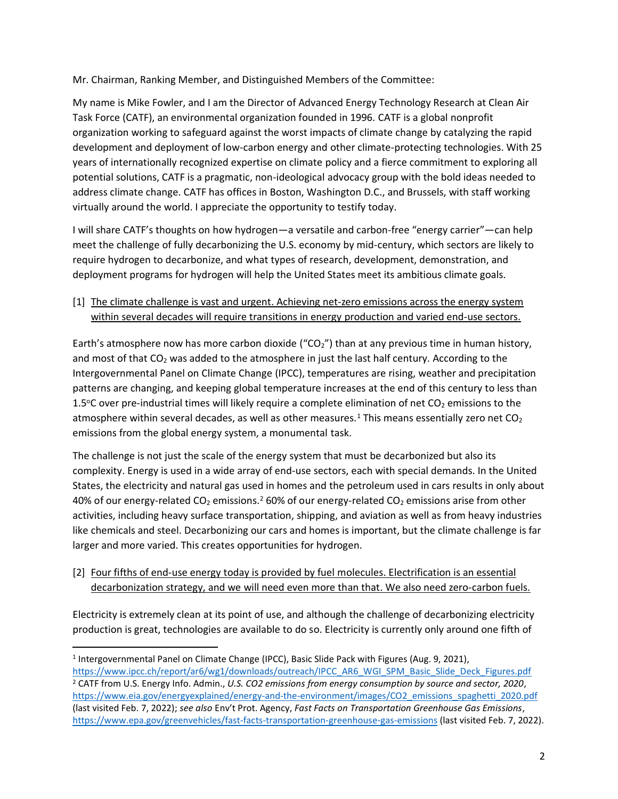Mr. Chairman, Ranking Member, and Distinguished Members of the Committee:

My name is Mike Fowler, and I am the Director of Advanced Energy Technology Research at Clean Air Task Force (CATF), an environmental organization founded in 1996. CATF is a global nonprofit organization working to safeguard against the worst impacts of climate change by catalyzing the rapid development and deployment of low-carbon energy and other climate-protecting technologies. With 25 years of internationally recognized expertise on climate policy and a fierce commitment to exploring all potential solutions, CATF is a pragmatic, non-ideological advocacy group with the bold ideas needed to address climate change. CATF has offices in Boston, Washington D.C., and Brussels, with staff working virtually around the world. I appreciate the opportunity to testify today.

I will share CATF's thoughts on how hydrogen—a versatile and carbon-free "energy carrier"—can help meet the challenge of fully decarbonizing the U.S. economy by mid-century, which sectors are likely to require hydrogen to decarbonize, and what types of research, development, demonstration, and deployment programs for hydrogen will help the United States meet its ambitious climate goals.

[1] The climate challenge is vast and urgent. Achieving net-zero emissions across the energy system within several decades will require transitions in energy production and varied end-use sectors.

Earth's atmosphere now has more carbon dioxide (" $CO<sub>2</sub>$ ") than at any previous time in human history, and most of that  $CO<sub>2</sub>$  was added to the atmosphere in just the last half century. According to the Intergovernmental Panel on Climate Change (IPCC), temperatures are rising, weather and precipitation patterns are changing, and keeping global temperature increases at the end of this century to less than 1.5°C over pre-industrial times will likely require a complete elimination of net  $CO<sub>2</sub>$  emissions to the atmosphere within several decades, as well as other measures.<sup>1</sup> This means essentially zero net  $CO<sub>2</sub>$ emissions from the global energy system, a monumental task.

The challenge is not just the scale of the energy system that must be decarbonized but also its complexity. Energy is used in a wide array of end-use sectors, each with special demands. In the United States, the electricity and natural gas used in homes and the petroleum used in cars results in only about 40% of our energy-related CO<sub>2</sub> emissions.<sup>2</sup> 60% of our energy-related CO<sub>2</sub> emissions arise from other activities, including heavy surface transportation, shipping, and aviation as well as from heavy industries like chemicals and steel. Decarbonizing our cars and homes is important, but the climate challenge is far larger and more varied. This creates opportunities for hydrogen.

[2] Four fifths of end-use energy today is provided by fuel molecules. Electrification is an essential decarbonization strategy, and we will need even more than that. We also need zero-carbon fuels.

Electricity is extremely clean at its point of use, and although the challenge of decarbonizing electricity production is great, technologies are available to do so. Electricity is currently only around one fifth of

<sup>&</sup>lt;sup>1</sup> Intergovernmental Panel on Climate Change (IPCC), Basic Slide Pack with Figures (Aug. 9, 2021),

[https://www.ipcc.ch/report/ar6/wg1/downloads/outreach/IPCC\\_AR6\\_WGI\\_SPM\\_Basic\\_Slide\\_Deck\\_Figures.pdf](https://www.ipcc.ch/report/ar6/wg1/downloads/outreach/IPCC_AR6_WGI_SPM_Basic_Slide_Deck_Figures.pdf) <sup>2</sup> CATF from U.S. Energy Info. Admin., *U.S. CO2 emissions from energy consumption by source and sector, 2020*, [https://www.eia.gov/energyexplained/energy-and-the-environment/images/CO2\\_emissions\\_spaghetti\\_2020.pdf](https://www.eia.gov/energyexplained/energy-and-the-environment/images/CO2_emissions_spaghetti_2020.pdf) (last visited Feb. 7, 2022); *see also* Env't Prot. Agency, *Fast Facts on Transportation Greenhouse Gas Emissions*, <https://www.epa.gov/greenvehicles/fast-facts-transportation-greenhouse-gas-emissions> (last visited Feb. 7, 2022).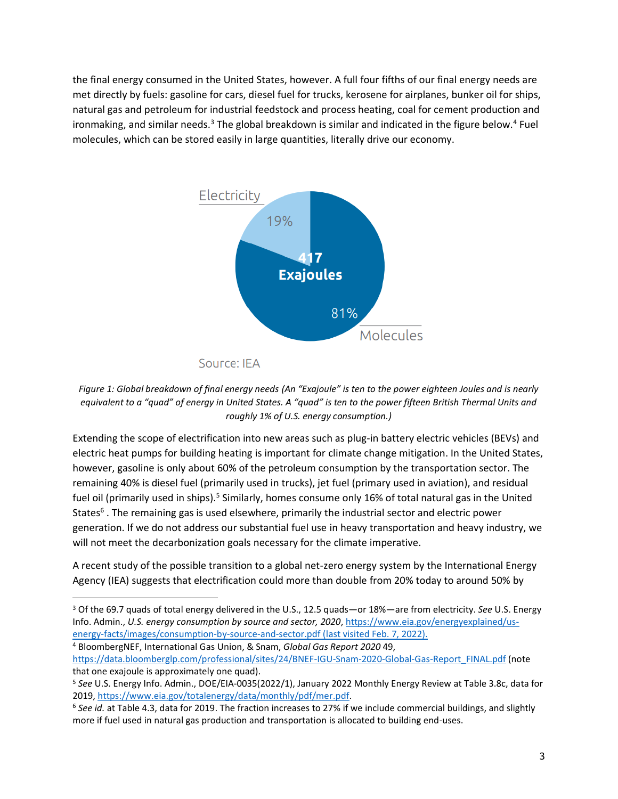the final energy consumed in the United States, however. A full four fifths of our final energy needs are met directly by fuels: gasoline for cars, diesel fuel for trucks, kerosene for airplanes, bunker oil for ships, natural gas and petroleum for industrial feedstock and process heating, coal for cement production and ironmaking, and similar needs.<sup>3</sup> The global breakdown is similar and indicated in the figure below.<sup>4</sup> Fuel molecules, which can be stored easily in large quantities, literally drive our economy.



Source: IEA

Extending the scope of electrification into new areas such as plug-in battery electric vehicles (BEVs) and electric heat pumps for building heating is important for climate change mitigation. In the United States, however, gasoline is only about 60% of the petroleum consumption by the transportation sector. The remaining 40% is diesel fuel (primarily used in trucks), jet fuel (primary used in aviation), and residual fuel oil (primarily used in ships).<sup>5</sup> Similarly, homes consume only 16% of total natural gas in the United States<sup>6</sup>. The remaining gas is used elsewhere, primarily the industrial sector and electric power generation. If we do not address our substantial fuel use in heavy transportation and heavy industry, we will not meet the decarbonization goals necessary for the climate imperative.

A recent study of the possible transition to a global net-zero energy system by the International Energy Agency (IEA) suggests that electrification could more than double from 20% today to around 50% by

[https://data.bloomberglp.com/professional/sites/24/BNEF-IGU-Snam-2020-Global-Gas-Report\\_FINAL.pdf](https://data.bloomberglp.com/professional/sites/24/BNEF-IGU-Snam-2020-Global-Gas-Report_FINAL.pdf.) (note that one exajoule is approximately one quad).

*Figure 1: Global breakdown of final energy needs (An "Exajoule" is ten to the power eighteen Joules and is nearly equivalent to a "quad" of energy in United States. A "quad" is ten to the power fifteen British Thermal Units and roughly 1% of U.S. energy consumption.)*

<sup>3</sup> Of the 69.7 quads of total energy delivered in the U.S., 12.5 quads—or 18%—are from electricity. *See* U.S. Energy Info. Admin., *U.S. energy consumption by source and sector, 2020*, [https://www.eia.gov/energyexplained/us](https://www.eia.gov/energyexplained/us-energy-facts/images/consumption-by-source-and-sector.pdf)[energy-facts/images/consumption-by-source-and-sector.pdf](https://www.eia.gov/energyexplained/us-energy-facts/images/consumption-by-source-and-sector.pdf) (last visited Feb. 7, 2022). <sup>4</sup> BloombergNEF, International Gas Union, & Snam, *Global Gas Report 2020* 49,

<sup>5</sup> *See* U.S. Energy Info. Admin., DOE/EIA‐0035(2022/1), January 2022 Monthly Energy Review at Table 3.8c, data for 2019, [https://www.eia.gov/totalenergy/data/monthly/pdf/mer.pdf.](https://www.eia.gov/totalenergy/data/monthly/pdf/mer.pdf)

<sup>6</sup> *See id.* at Table 4.3, data for 2019. The fraction increases to 27% if we include commercial buildings, and slightly more if fuel used in natural gas production and transportation is allocated to building end-uses.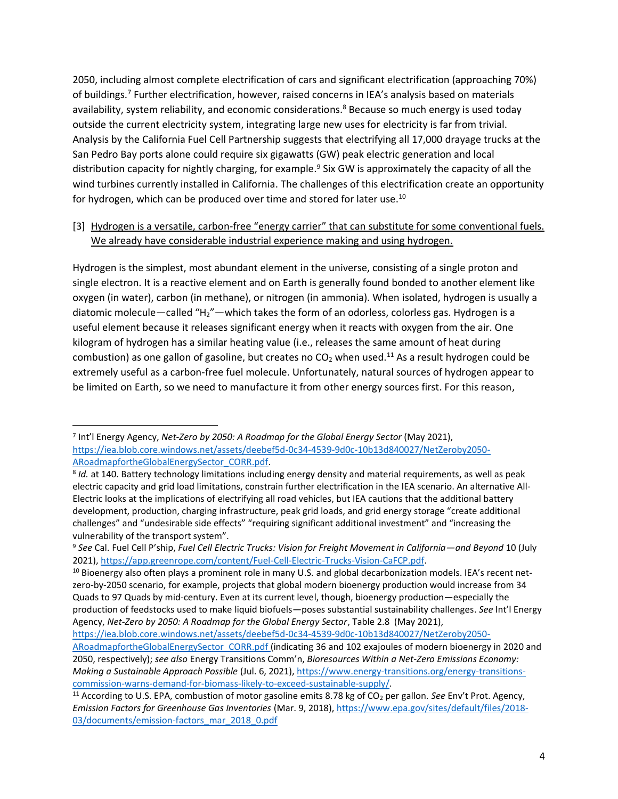2050, including almost complete electrification of cars and significant electrification (approaching 70%) of buildings. <sup>7</sup> Further electrification, however, raised concerns in IEA's analysis based on materials availability, system reliability, and economic considerations. <sup>8</sup> Because so much energy is used today outside the current electricity system, integrating large new uses for electricity is far from trivial. Analysis by the California Fuel Cell Partnership suggests that electrifying all 17,000 drayage trucks at the San Pedro Bay ports alone could require six gigawatts (GW) peak electric generation and local distribution capacity for nightly charging, for example. <sup>9</sup> Six GW is approximately the capacity of all the wind turbines currently installed in California. The challenges of this electrification create an opportunity for hydrogen, which can be produced over time and stored for later use.<sup>10</sup>

# [3] Hydrogen is a versatile, carbon-free "energy carrier" that can substitute for some conventional fuels. We already have considerable industrial experience making and using hydrogen.

Hydrogen is the simplest, most abundant element in the universe, consisting of a single proton and single electron. It is a reactive element and on Earth is generally found bonded to another element like oxygen (in water), carbon (in methane), or nitrogen (in ammonia). When isolated, hydrogen is usually a diatomic molecule—called "H2"—which takes the form of an odorless, colorless gas. Hydrogen is a useful element because it releases significant energy when it reacts with oxygen from the air. One kilogram of hydrogen has a similar heating value (i.e., releases the same amount of heat during combustion) as one gallon of gasoline, but creates no CO<sub>2</sub> when used.<sup>11</sup> As a result hydrogen could be extremely useful as a carbon-free fuel molecule. Unfortunately, natural sources of hydrogen appear to be limited on Earth, so we need to manufacture it from other energy sources first. For this reason,

<sup>7</sup> Int'l Energy Agency, *Net-Zero by 2050: A Roadmap for the Global Energy Sector* (May 2021), [https://iea.blob.core.windows.net/assets/deebef5d-0c34-4539-9d0c-10b13d840027/NetZeroby2050-](https://iea.blob.core.windows.net/assets/deebef5d-0c34-4539-9d0c-10b13d840027/NetZeroby2050-ARoadmapfortheGlobalEnergySector_CORR.pdf) [ARoadmapfortheGlobalEnergySector\\_CORR.pdf.](https://iea.blob.core.windows.net/assets/deebef5d-0c34-4539-9d0c-10b13d840027/NetZeroby2050-ARoadmapfortheGlobalEnergySector_CORR.pdf)

<sup>8</sup> *Id.* at 140. Battery technology limitations including energy density and material requirements, as well as peak electric capacity and grid load limitations, constrain further electrification in the IEA scenario. An alternative All-Electric looks at the implications of electrifying all road vehicles, but IEA cautions that the additional battery development, production, charging infrastructure, peak grid loads, and grid energy storage "create additional challenges" and "undesirable side effects" "requiring significant additional investment" and "increasing the vulnerability of the transport system".

<sup>9</sup> *See* Cal. Fuel Cell P'ship, *Fuel Cell Electric Trucks: Vision for Freight Movement in California—and Beyond* 10 (July 2021), [https://app.greenrope.com/content/Fuel-Cell-Electric-Trucks-Vision-CaFCP.pdf.](https://app.greenrope.com/content/Fuel-Cell-Electric-Trucks-Vision-CaFCP.pdf)

<sup>&</sup>lt;sup>10</sup> Bioenergy also often plays a prominent role in many U.S. and global decarbonization models. IEA's recent netzero-by-2050 scenario, for example, projects that global modern bioenergy production would increase from 34 Quads to 97 Quads by mid-century. Even at its current level, though, bioenergy production—especially the production of feedstocks used to make liquid biofuels—poses substantial sustainability challenges. *See* Int'l Energy Agency, *Net-Zero by 2050: A Roadmap for the Global Energy Sector*, Table 2.8 (May 2021),

[https://iea.blob.core.windows.net/assets/deebef5d-0c34-4539-9d0c-10b13d840027/NetZeroby2050-](https://iea.blob.core.windows.net/assets/deebef5d-0c34-4539-9d0c-10b13d840027/NetZeroby2050-ARoadmapfortheGlobalEnergySector_CORR.pdf) [ARoadmapfortheGlobalEnergySector\\_CORR.pdf](https://iea.blob.core.windows.net/assets/deebef5d-0c34-4539-9d0c-10b13d840027/NetZeroby2050-ARoadmapfortheGlobalEnergySector_CORR.pdf) (indicating 36 and 102 exajoules of modern bioenergy in 2020 and 2050, respectively); *see also* Energy Transitions Comm'n, *Bioresources Within a Net-Zero Emissions Economy: Making a Sustainable Approach Possible* (Jul. 6, 2021), [https://www.energy-transitions.org/energy-transitions](https://www.energy-transitions.org/energy-transitions-commission-warns-demand-for-biomass-likely-to-exceed-sustainable-supply/)[commission-warns-demand-for-biomass-likely-to-exceed-sustainable-supply/.](https://www.energy-transitions.org/energy-transitions-commission-warns-demand-for-biomass-likely-to-exceed-sustainable-supply/)

<sup>&</sup>lt;sup>11</sup> According to U.S. EPA, combustion of motor gasoline emits 8.78 kg of CO<sub>2</sub> per gallon. *See* Env't Prot. Agency, *Emission Factors for Greenhouse Gas Inventories* (Mar. 9, 2018)[, https://www.epa.gov/sites/default/files/2018-](https://www.epa.gov/sites/default/files/2018-03/documents/emission-factors_mar_2018_0.pdf) [03/documents/emission-factors\\_mar\\_2018\\_0.pdf](https://www.epa.gov/sites/default/files/2018-03/documents/emission-factors_mar_2018_0.pdf)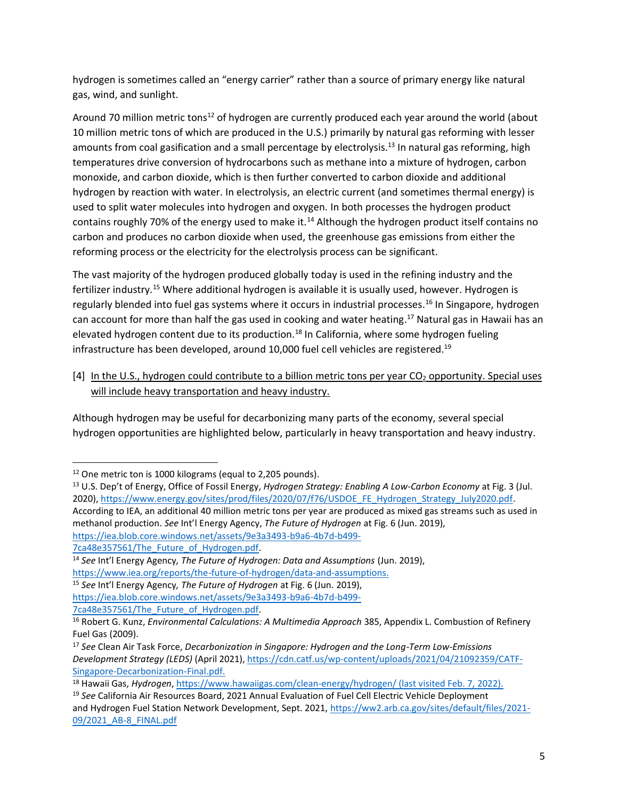hydrogen is sometimes called an "energy carrier" rather than a source of primary energy like natural gas, wind, and sunlight.

Around 70 million metric tons<sup>12</sup> of hydrogen are currently produced each year around the world (about 10 million metric tons of which are produced in the U.S.) primarily by natural gas reforming with lesser amounts from coal gasification and a small percentage by electrolysis.<sup>13</sup> In natural gas reforming, high temperatures drive conversion of hydrocarbons such as methane into a mixture of hydrogen, carbon monoxide, and carbon dioxide, which is then further converted to carbon dioxide and additional hydrogen by reaction with water. In electrolysis, an electric current (and sometimes thermal energy) is used to split water molecules into hydrogen and oxygen. In both processes the hydrogen product contains roughly 70% of the energy used to make it.<sup>14</sup> Although the hydrogen product itself contains no carbon and produces no carbon dioxide when used, the greenhouse gas emissions from either the reforming process or the electricity for the electrolysis process can be significant.

The vast majority of the hydrogen produced globally today is used in the refining industry and the fertilizer industry.<sup>15</sup> Where additional hydrogen is available it is usually used, however. Hydrogen is regularly blended into fuel gas systems where it occurs in industrial processes. <sup>16</sup> In Singapore, hydrogen can account for more than half the gas used in cooking and water heating. <sup>17</sup> Natural gas in Hawaii has an elevated hydrogen content due to its production.<sup>18</sup> In California, where some hydrogen fueling infrastructure has been developed, around 10,000 fuel cell vehicles are registered. 19

[4] In the U.S., hydrogen could contribute to a billion metric tons per year  $CO<sub>2</sub>$  opportunity. Special uses will include heavy transportation and heavy industry.

Although hydrogen may be useful for decarbonizing many parts of the economy, several special hydrogen opportunities are highlighted below, particularly in heavy transportation and heavy industry.

<sup>&</sup>lt;sup>12</sup> One metric ton is 1000 kilograms (equal to 2,205 pounds).

<sup>13</sup> U.S. Dep't of Energy, Office of Fossil Energy, *Hydrogen Strategy: Enabling A Low-Carbon Economy* at Fig. 3 (Jul. 2020), https://www.energy.gov/sites/prod/files/2020/07/f76/USDOE\_FE\_Hydrogen\_Strategy\_July2020.pdf. According to IEA, an additional 40 million metric tons per year are produced as mixed gas streams such as used in methanol production. *See* Int'l Energy Agency, *The Future of Hydrogen* at Fig. 6 (Jun. 2019), [https://iea.blob.core.windows.net/assets/9e3a3493-b9a6-4b7d-b499-](https://iea.blob.core.windows.net/assets/9e3a3493-b9a6-4b7d-b499-7ca48e357561/The_Future_of_Hydrogen.pdf)

<sup>7</sup>ca48e357561/The Future of Hydrogen.pdf.

<sup>14</sup> *See* Int'l Energy Agency*, The Future of Hydrogen: Data and Assumptions* (Jun. 2019), [https://www.iea.org/reports/the-future-of-hydrogen/data-and-assumptions.](https://www.iea.org/reports/the-future-of-hydrogen/data-and-assumptions)

<sup>15</sup> *See* Int'l Energy Agency*, The Future of Hydrogen* at Fig. 6 (Jun. 2019),

[https://iea.blob.core.windows.net/assets/9e3a3493-b9a6-4b7d-b499-](https://iea.blob.core.windows.net/assets/9e3a3493-b9a6-4b7d-b499-7ca48e357561/The_Future_of_Hydrogen.pdf)

<sup>7</sup>ca48e357561/The Future of Hydrogen.pdf.

<sup>16</sup> Robert G. Kunz, *Environmental Calculations: A Multimedia Approach* 385, Appendix L. Combustion of Refinery Fuel Gas (2009).

<sup>17</sup> *See* Clean Air Task Force, *Decarbonization in Singapore: Hydrogen and the Long-Term Low-Emissions Development Strategy (LEDS)* (April 2021), [https://cdn.catf.us/wp-content/uploads/2021/04/21092359/CATF-](https://cdn.catf.us/wp-content/uploads/2021/04/21092359/CATF-Singapore-Decarbonization-Final.pdf)[Singapore-Decarbonization-Final.pdf.](https://cdn.catf.us/wp-content/uploads/2021/04/21092359/CATF-Singapore-Decarbonization-Final.pdf)

<sup>18</sup> Hawaii Gas, *Hydrogen*[, https://www.hawaiigas.com/clean-energy/hydrogen/](https://www.hawaiigas.com/clean-energy/hydrogen/) (last visited Feb. 7, 2022).

<sup>19</sup> *See* California Air Resources Board, 2021 Annual Evaluation of Fuel Cell Electric Vehicle Deployment and Hydrogen Fuel Station Network Development, Sept. 2021, [https://ww2.arb.ca.gov/sites/default/files/2021-](https://ww2.arb.ca.gov/sites/default/files/2021-09/2021_AB-8_FINAL.pdf) [09/2021\\_AB-8\\_FINAL.pdf](https://ww2.arb.ca.gov/sites/default/files/2021-09/2021_AB-8_FINAL.pdf)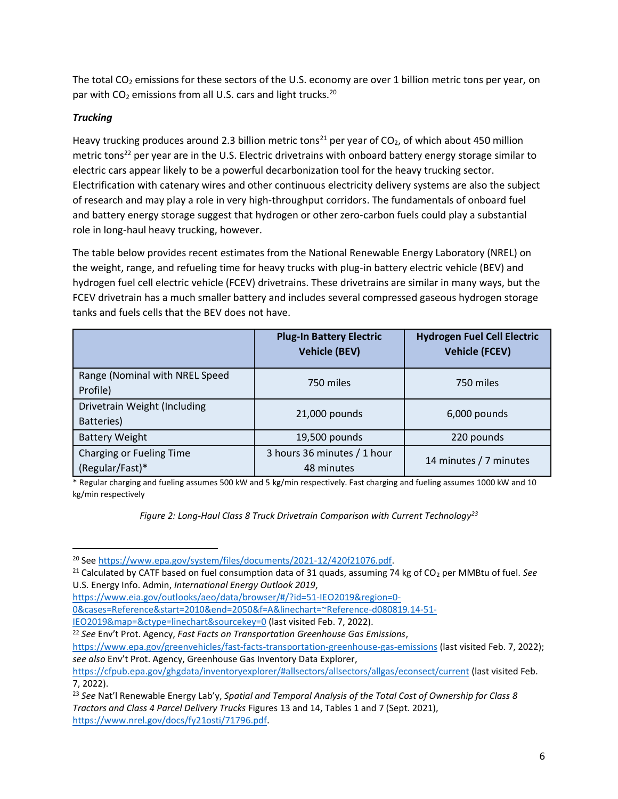The total  $CO<sub>2</sub>$  emissions for these sectors of the U.S. economy are over 1 billion metric tons per year, on par with  $CO<sub>2</sub>$  emissions from all U.S. cars and light trucks.<sup>20</sup>

# *Trucking*

Heavy trucking produces around 2.3 billion metric tons<sup>21</sup> per year of CO<sub>2</sub>, of which about 450 million metric tons<sup>22</sup> per year are in the U.S. Electric drivetrains with onboard battery energy storage similar to electric cars appear likely to be a powerful decarbonization tool for the heavy trucking sector. Electrification with catenary wires and other continuous electricity delivery systems are also the subject of research and may play a role in very high-throughput corridors. The fundamentals of onboard fuel and battery energy storage suggest that hydrogen or other zero-carbon fuels could play a substantial role in long-haul heavy trucking, however.

The table below provides recent estimates from the National Renewable Energy Laboratory (NREL) on the weight, range, and refueling time for heavy trucks with plug-in battery electric vehicle (BEV) and hydrogen fuel cell electric vehicle (FCEV) drivetrains. These drivetrains are similar in many ways, but the FCEV drivetrain has a much smaller battery and includes several compressed gaseous hydrogen storage tanks and fuels cells that the BEV does not have.

|                                             | <b>Plug-In Battery Electric</b><br><b>Vehicle (BEV)</b> | <b>Hydrogen Fuel Cell Electric</b><br><b>Vehicle (FCEV)</b> |
|---------------------------------------------|---------------------------------------------------------|-------------------------------------------------------------|
| Range (Nominal with NREL Speed<br>Profile)  | 750 miles                                               | 750 miles                                                   |
| Drivetrain Weight (Including<br>Batteries)  | 21,000 pounds                                           | 6,000 pounds                                                |
| <b>Battery Weight</b>                       | 19,500 pounds                                           | 220 pounds                                                  |
| Charging or Fueling Time<br>(Regular/Fast)* | 3 hours 36 minutes / 1 hour<br>48 minutes               | 14 minutes / 7 minutes                                      |

\* Regular charging and fueling assumes 500 kW and 5 kg/min respectively. Fast charging and fueling assumes 1000 kW and 10 kg/min respectively

*Figure 2: Long-Haul Class 8 Truck Drivetrain Comparison with Current Technology<sup>23</sup>*

[IEO2019&map=&ctype=linechart&sourcekey=0](https://www.eia.gov/outlooks/aeo/data/browser/#/?id=51-IEO2019®ion=0-0&cases=Reference&start=2010&end=2050&f=A&linechart=~Reference-d080819.14-51-IEO2019&map=&ctype=linechart&sourcekey=0) (last visited Feb. 7, 2022).

<sup>&</sup>lt;sup>20</sup> See https://www.epa.gov/system/files/documents/2021-12/420f21076.pdf.

<sup>&</sup>lt;sup>21</sup> Calculated by CATF based on fuel consumption data of 31 quads, assuming 74 kg of CO<sub>2</sub> per MMBtu of fuel. See U.S. Energy Info. Admin, *International Energy Outlook 2019*,

[https://www.eia.gov/outlooks/aeo/data/browser/#/?id=51-IEO2019&region=0-](https://www.eia.gov/outlooks/aeo/data/browser/#/?id=51-IEO2019®ion=0-0&cases=Reference&start=2010&end=2050&f=A&linechart=~Reference-d080819.14-51-IEO2019&map=&ctype=linechart&sourcekey=0)

[<sup>0&</sup>amp;cases=Reference&start=2010&end=2050&f=A&linechart=~Reference-d080819.14-51-](https://www.eia.gov/outlooks/aeo/data/browser/#/?id=51-IEO2019®ion=0-0&cases=Reference&start=2010&end=2050&f=A&linechart=~Reference-d080819.14-51-IEO2019&map=&ctype=linechart&sourcekey=0)

<sup>22</sup> *See* Env't Prot. Agency, *Fast Facts on Transportation Greenhouse Gas Emissions*,

<https://www.epa.gov/greenvehicles/fast-facts-transportation-greenhouse-gas-emissions> (last visited Feb. 7, 2022); *see also* Env't Prot. Agency, Greenhouse Gas Inventory Data Explorer,

<https://cfpub.epa.gov/ghgdata/inventoryexplorer/#allsectors/allsectors/allgas/econsect/current> (last visited Feb. 7, 2022).

<sup>23</sup> *See* Nat'l Renewable Energy Lab'y, *Spatial and Temporal Analysis of the Total Cost of Ownership for Class 8 Tractors and Class 4 Parcel Delivery Trucks* Figures 13 and 14, Tables 1 and 7 (Sept. 2021), [https://www.nrel.gov/docs/fy21osti/71796.pdf.](https://www.nrel.gov/docs/fy21osti/71796.pdf)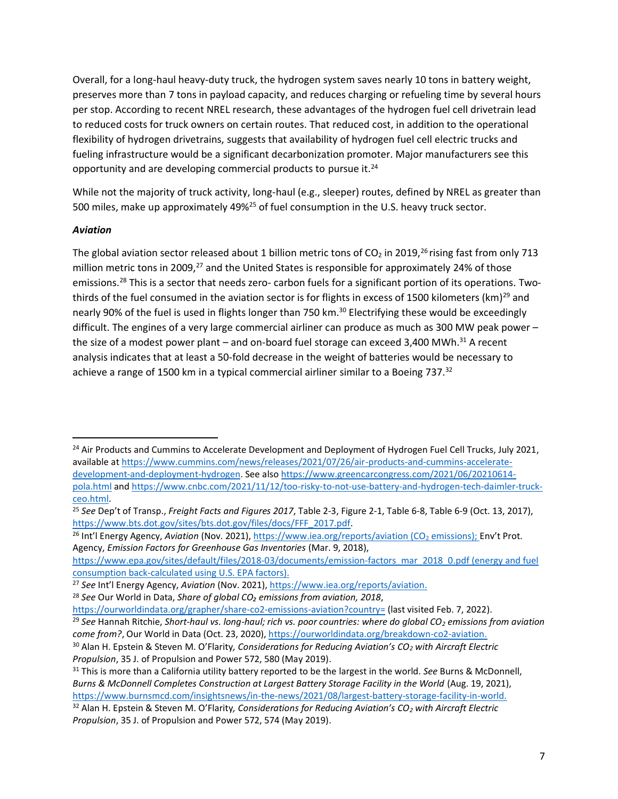Overall, for a long-haul heavy-duty truck, the hydrogen system saves nearly 10 tons in battery weight, preserves more than 7 tons in payload capacity, and reduces charging or refueling time by several hours per stop. According to recent NREL research, these advantages of the hydrogen fuel cell drivetrain lead to reduced costs for truck owners on certain routes. That reduced cost, in addition to the operational flexibility of hydrogen drivetrains, suggests that availability of hydrogen fuel cell electric trucks and fueling infrastructure would be a significant decarbonization promoter. Major manufacturers see this opportunity and are developing commercial products to pursue it.<sup>24</sup>

While not the majority of truck activity, long-haul (e.g., sleeper) routes, defined by NREL as greater than 500 miles, make up approximately 49%<sup>25</sup> of fuel consumption in the U.S. heavy truck sector.

#### *Aviation*

The global aviation sector released about 1 billion metric tons of  $CO<sub>2</sub>$  in 2019,<sup>26</sup> rising fast from only 713 million metric tons in 2009,<sup>27</sup> and the United States is responsible for approximately 24% of those emissions.<sup>28</sup> This is a sector that needs zero- carbon fuels for a significant portion of its operations. Twothirds of the fuel consumed in the aviation sector is for flights in excess of 1500 kilometers (km)<sup>29</sup> and nearly 90% of the fuel is used in flights longer than 750 km.<sup>30</sup> Electrifying these would be exceedingly difficult. The engines of a very large commercial airliner can produce as much as 300 MW peak power – the size of a modest power plant – and on-board fuel storage can exceed 3,400 MWh.<sup>31</sup> A recent analysis indicates that at least a 50-fold decrease in the weight of batteries would be necessary to achieve a range of 1500 km in a typical commercial airliner similar to a Boeing 737.<sup>32</sup>

<sup>26</sup> Int'l Energy Agency, Aviation (Nov. 2021),<https://www.iea.org/reports/aviation> (CO<sub>2</sub> emissions); Env't Prot. Agency, *Emission Factors for Greenhouse Gas Inventories* (Mar. 9, 2018),

<sup>&</sup>lt;sup>24</sup> Air Products and Cummins to Accelerate Development and Deployment of Hydrogen Fuel Cell Trucks, July 2021, available a[t https://www.cummins.com/news/releases/2021/07/26/air-products-and-cummins-accelerate](https://www.cummins.com/news/releases/2021/07/26/air-products-and-cummins-accelerate-development-and-deployment-hydrogen)[development-and-deployment-hydrogen.](https://www.cummins.com/news/releases/2021/07/26/air-products-and-cummins-accelerate-development-and-deployment-hydrogen) See also [https://www.greencarcongress.com/2021/06/20210614](https://www.greencarcongress.com/2021/06/20210614-pola.html) [pola.html](https://www.greencarcongress.com/2021/06/20210614-pola.html) and [https://www.cnbc.com/2021/11/12/too-risky-to-not-use-battery-and-hydrogen-tech-daimler-truck](https://www.cnbc.com/2021/11/12/too-risky-to-not-use-battery-and-hydrogen-tech-daimler-truck-ceo.html)[ceo.html.](https://www.cnbc.com/2021/11/12/too-risky-to-not-use-battery-and-hydrogen-tech-daimler-truck-ceo.html)

<sup>25</sup> *See* Dep't of Transp., *Freight Facts and Figures 2017*, Table 2-3, Figure 2-1, Table 6-8, Table 6-9 (Oct. 13, 2017), [https://www.bts.dot.gov/sites/bts.dot.gov/files/docs/FFF\\_2017.pdf.](https://www.bts.dot.gov/sites/bts.dot.gov/files/docs/FFF_2017.pdf)

[https://www.epa.gov/sites/default/files/2018-03/documents/emission-factors\\_mar\\_2018\\_0.pdf](https://www.epa.gov/sites/default/files/2018-03/documents/emission-factors_mar_2018_0.pdf) (energy and fuel consumption back-calculated using U.S. EPA factors).

<sup>27</sup> *See* Int'l Energy Agency, *Aviation* (Nov. 2021)[, https://www.iea.org/reports/aviation.](https://www.iea.org/reports/aviation)

<sup>28</sup> *See* Our World in Data, *Share of global CO₂ emissions from aviation, 2018*,

<https://ourworldindata.org/grapher/share-co2-emissions-aviation?country=> (last visited Feb. 7, 2022).

<sup>29</sup> *See* Hannah Ritchie, *Short-haul vs. long-haul; rich vs. poor countries: where do global CO<sup>2</sup> emissions from aviation come from?*, Our World in Data (Oct. 23, 2020), [https://ourworldindata.org/breakdown-co2-aviation.](https://ourworldindata.org/breakdown-co2-aviation)

<sup>30</sup> Alan H. Epstein & Steven M. O'Flarity*, Considerations for Reducing Aviation's CO<sup>2</sup> with Aircraft Electric Propulsion*, 35 J. of Propulsion and Power 572, 580 (May 2019).

<sup>31</sup> This is more than a California utility battery reported to be the largest in the world. *See* Burns & McDonnell, *Burns & McDonnell Completes Construction at Largest Battery Storage Facility in the World* (Aug. 19, 2021), [https://www.burnsmcd.com/insightsnews/in-the-news/2021/08/largest-battery-storage-facility-in-world.](https://www.burnsmcd.com/insightsnews/in-the-news/2021/08/largest-battery-storage-facility-in-world)

<sup>32</sup> Alan H. Epstein & Steven M. O'Flarity*, Considerations for Reducing Aviation's CO<sup>2</sup> with Aircraft Electric Propulsion*, 35 J. of Propulsion and Power 572, 574 (May 2019).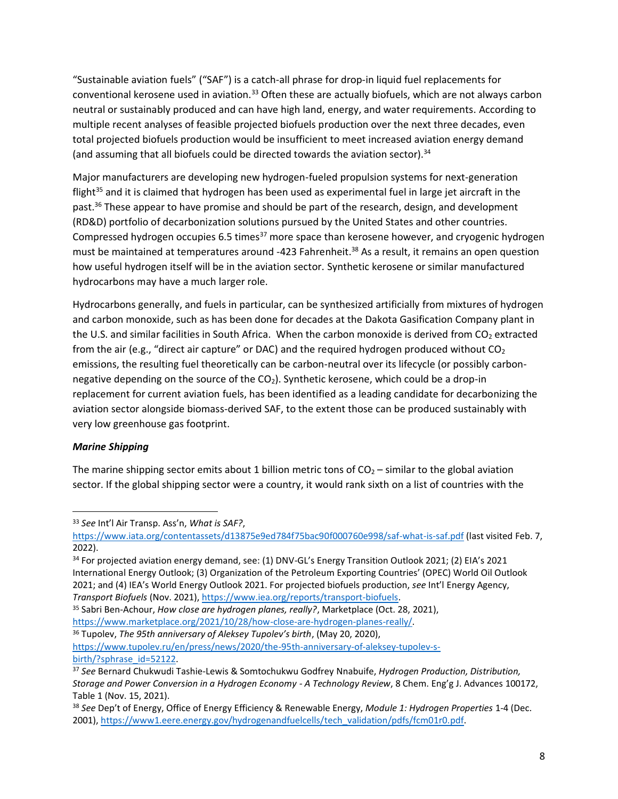"Sustainable aviation fuels" ("SAF") is a catch-all phrase for drop-in liquid fuel replacements for conventional kerosene used in aviation.<sup>33</sup> Often these are actually biofuels, which are not always carbon neutral or sustainably produced and can have high land, energy, and water requirements. According to multiple recent analyses of feasible projected biofuels production over the next three decades, even total projected biofuels production would be insufficient to meet increased aviation energy demand (and assuming that all biofuels could be directed towards the aviation sector).<sup>34</sup>

Major manufacturers are developing new hydrogen-fueled propulsion systems for next-generation flight<sup>35</sup> and it is claimed that hydrogen has been used as experimental fuel in large jet aircraft in the past.<sup>36</sup> These appear to have promise and should be part of the research, design, and development (RD&D) portfolio of decarbonization solutions pursued by the United States and other countries. Compressed hydrogen occupies 6.5 times<sup>37</sup> more space than kerosene however, and cryogenic hydrogen must be maintained at temperatures around -423 Fahrenheit.<sup>38</sup> As a result, it remains an open question how useful hydrogen itself will be in the aviation sector. Synthetic kerosene or similar manufactured hydrocarbons may have a much larger role.

Hydrocarbons generally, and fuels in particular, can be synthesized artificially from mixtures of hydrogen and carbon monoxide, such as has been done for decades at the Dakota Gasification Company plant in the U.S. and similar facilities in South Africa. When the carbon monoxide is derived from CO<sub>2</sub> extracted from the air (e.g., "direct air capture" or DAC) and the required hydrogen produced without  $CO<sub>2</sub>$ emissions, the resulting fuel theoretically can be carbon-neutral over its lifecycle (or possibly carbonnegative depending on the source of the  $CO<sub>2</sub>$ ). Synthetic kerosene, which could be a drop-in replacement for current aviation fuels, has been identified as a leading candidate for decarbonizing the aviation sector alongside biomass-derived SAF, to the extent those can be produced sustainably with very low greenhouse gas footprint.

### *Marine Shipping*

The marine shipping sector emits about 1 billion metric tons of  $CO<sub>2</sub>$  – similar to the global aviation sector. If the global shipping sector were a country, it would rank sixth on a list of countries with the

<sup>33</sup> *See* Int'l Air Transp. Ass'n, *What is SAF?*,

<https://www.iata.org/contentassets/d13875e9ed784f75bac90f000760e998/saf-what-is-saf.pdf> (last visited Feb. 7, 2022).

<sup>&</sup>lt;sup>34</sup> For projected aviation energy demand, see: (1) DNV-GL's Energy Transition Outlook 2021; (2) EIA's 2021 International Energy Outlook; (3) Organization of the Petroleum Exporting Countries' (OPEC) World Oil Outlook 2021; and (4) IEA's World Energy Outlook 2021. For projected biofuels production, *see* Int'l Energy Agency, *Transport Biofuels* (Nov. 2021), [https://www.iea.org/reports/transport-biofuels.](https://www.iea.org/reports/transport-biofuels)

<sup>35</sup> Sabri Ben-Achour, *How close are hydrogen planes, really?*, Marketplace (Oct. 28, 2021), [https://www.marketplace.org/2021/10/28/how-close-are-hydrogen-planes-really/.](https://www.marketplace.org/2021/10/28/how-close-are-hydrogen-planes-really/) 

<sup>36</sup> Tupolev, *The 95th anniversary of Aleksey Tupolev's birth*, (May 20, 2020), [https://www.tupolev.ru/en/press/news/2020/the-95th-anniversary-of-aleksey-tupolev-s](https://www.tupolev.ru/en/press/news/2020/the-95th-anniversary-of-aleksey-tupolev-s-birth/?sphrase_id=52122)birth/?sphrase\_id=52122.

<sup>37</sup> *See* Bernard Chukwudi Tashie-Lewis & Somtochukwu Godfrey Nnabuife, *Hydrogen Production, Distribution, Storage and Power Conversion in a Hydrogen Economy - A Technology Review*, 8 Chem. Eng'g J. Advances 100172, Table 1 (Nov. 15, 2021).

<sup>38</sup> *See* Dep't of Energy, Office of Energy Efficiency & Renewable Energy, *Module 1: Hydrogen Properties* 1-4 (Dec. 2001), [https://www1.eere.energy.gov/hydrogenandfuelcells/tech\\_validation/pdfs/fcm01r0.pdf.](https://www1.eere.energy.gov/hydrogenandfuelcells/tech_validation/pdfs/fcm01r0.pdf)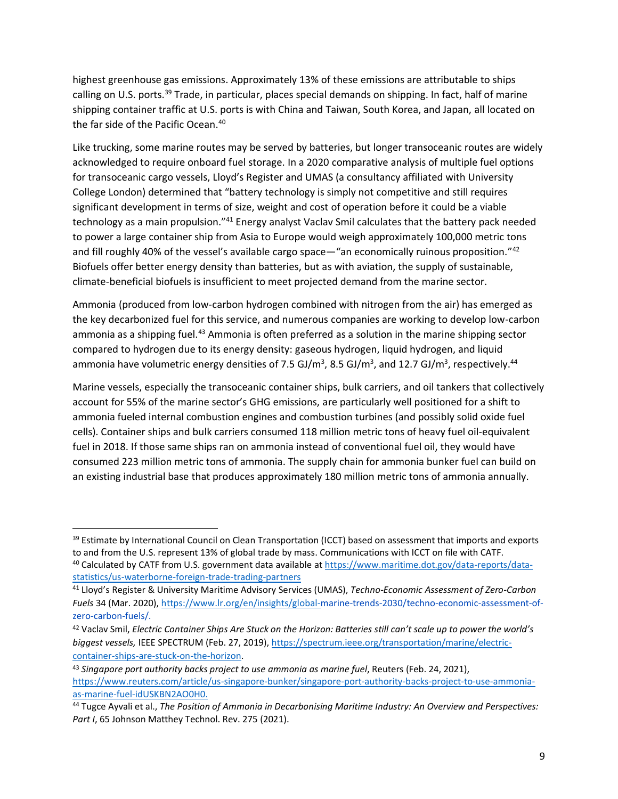highest greenhouse gas emissions. Approximately 13% of these emissions are attributable to ships calling on U.S. ports.<sup>39</sup> Trade, in particular, places special demands on shipping. In fact, half of marine shipping container traffic at U.S. ports is with China and Taiwan, South Korea, and Japan, all located on the far side of the Pacific Ocean. 40

Like trucking, some marine routes may be served by batteries, but longer transoceanic routes are widely acknowledged to require onboard fuel storage. In a 2020 comparative analysis of multiple fuel options for transoceanic cargo vessels, Lloyd's Register and UMAS (a consultancy affiliated with University College London) determined that "battery technology is simply not competitive and still requires significant development in terms of size, weight and cost of operation before it could be a viable technology as a main propulsion."<sup>41</sup> Energy analyst Vaclav Smil calculates that the battery pack needed to power a large container ship from Asia to Europe would weigh approximately 100,000 metric tons and fill roughly 40% of the vessel's available cargo space—"an economically ruinous proposition."<sup>42</sup> Biofuels offer better energy density than batteries, but as with aviation, the supply of sustainable, climate-beneficial biofuels is insufficient to meet projected demand from the marine sector.

Ammonia (produced from low-carbon hydrogen combined with nitrogen from the air) has emerged as the key decarbonized fuel for this service, and numerous companies are working to develop low-carbon ammonia as a shipping fuel.<sup>43</sup> Ammonia is often preferred as a solution in the marine shipping sector compared to hydrogen due to its energy density: gaseous hydrogen, liquid hydrogen, and liquid ammonia have volumetric energy densities of 7.5 GJ/m<sup>3</sup>, 8.5 GJ/m<sup>3</sup>, and 12.7 GJ/m<sup>3</sup>, respectively.<sup>44</sup>

Marine vessels, especially the transoceanic container ships, bulk carriers, and oil tankers that collectively account for 55% of the marine sector's GHG emissions, are particularly well positioned for a shift to ammonia fueled internal combustion engines and combustion turbines (and possibly solid oxide fuel cells). Container ships and bulk carriers consumed 118 million metric tons of heavy fuel oil-equivalent fuel in 2018. If those same ships ran on ammonia instead of conventional fuel oil, they would have consumed 223 million metric tons of ammonia. The supply chain for ammonia bunker fuel can build on an existing industrial base that produces approximately 180 million metric tons of ammonia annually.

<sup>&</sup>lt;sup>39</sup> Estimate by International Council on Clean Transportation (ICCT) based on assessment that imports and exports to and from the U.S. represent 13% of global trade by mass. Communications with ICCT on file with CATF. <sup>40</sup> Calculated by CATF from U.S. government data available at [https://www.maritime.dot.gov/data-reports/data](https://www.maritime.dot.gov/data-reports/data-statistics/us-waterborne-foreign-trade-trading-partners)[statistics/us-waterborne-foreign-trade-trading-partners](https://www.maritime.dot.gov/data-reports/data-statistics/us-waterborne-foreign-trade-trading-partners)

<sup>41</sup> Lloyd's Register & University Maritime Advisory Services (UMAS), *Techno-Economic Assessment of Zero-Carbon Fuels* 34 (Mar. 2020), [https://www.lr.org/en/insights/global-m](https://www.lr.org/en/insights/global-)arine-trends-2030/techno-economic-assessment-ofzero-carbon-fuels/.

<sup>42</sup> Vaclav Smil, *Electric Container Ships Are Stuck on the Horizon: Batteries still can't scale up to power the world's biggest vessels,* IEEE SPECTRUM (Feb. 27, 2019), [https://spectrum.ieee.org/transportation/marine/electric](https://spectrum.ieee.org/transportation/marine/electric-container-ships-are-stuck-on-the-horizon)[container-ships-are-stuck-on-the-horizon.](https://spectrum.ieee.org/transportation/marine/electric-container-ships-are-stuck-on-the-horizon)

<sup>&</sup>lt;sup>43</sup> Singapore port authority backs project to use ammonia as marine fuel, Reuters (Feb. 24, 2021), [https://www.reuters.com/article/us-singapore-bunker/singapore-port-authority-backs-project-to-use-ammonia](https://www.reuters.com/article/us-singapore-bunker/singapore-port-authority-backs-project-to-use-ammonia-as-marine-fuel-idUSKBN2AO0H0)[as-marine-fuel-idUSKBN2AO0H0.](https://www.reuters.com/article/us-singapore-bunker/singapore-port-authority-backs-project-to-use-ammonia-as-marine-fuel-idUSKBN2AO0H0)

<sup>44</sup> Tugce Ayvali et al., *The Position of Ammonia in Decarbonising Maritime Industry: An Overview and Perspectives:*  Part I, 65 Johnson Matthey Technol. Rev. 275 (2021).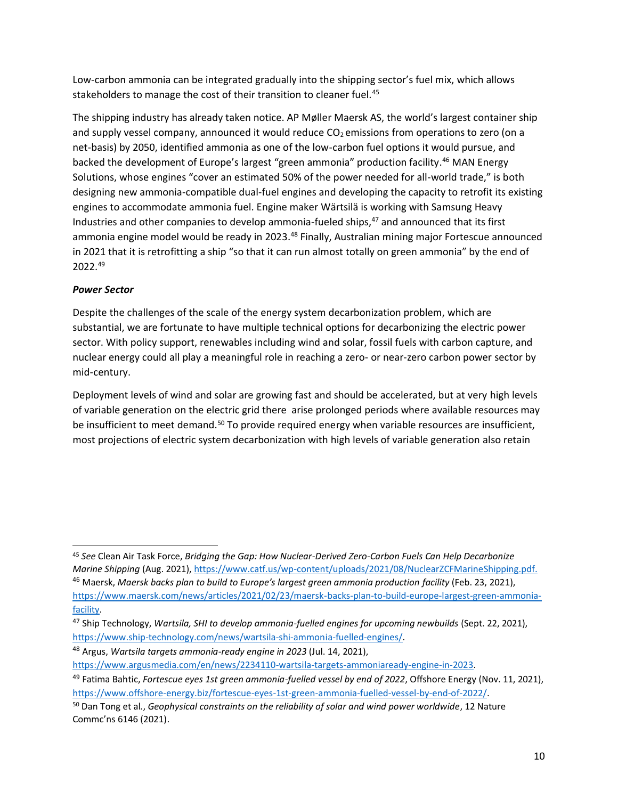Low-carbon ammonia can be integrated gradually into the shipping sector's fuel mix, which allows stakeholders to manage the cost of their transition to cleaner fuel.<sup>45</sup>

The shipping industry has already taken notice. AP Møller Maersk AS, the world's largest container ship and supply vessel company, announced it would reduce  $CO<sub>2</sub>$  emissions from operations to zero (on a net-basis) by 2050, identified ammonia as one of the low-carbon fuel options it would pursue, and backed the development of Europe's largest "green ammonia" production facility. <sup>46</sup> MAN Energy Solutions, whose engines "cover an estimated 50% of the power needed for all-world trade," is both designing new ammonia-compatible dual-fuel engines and developing the capacity to retrofit its existing engines to accommodate ammonia fuel. Engine maker Wärtsilä is working with Samsung Heavy Industries and other companies to develop ammonia-fueled ships, <sup>47</sup> and announced that its first ammonia engine model would be ready in 2023.<sup>48</sup> Finally, Australian mining major Fortescue announced in 2021 that it is retrofitting a ship "so that it can run almost totally on green ammonia" by the end of 2022. 49

### *Power Sector*

Despite the challenges of the scale of the energy system decarbonization problem, which are substantial, we are fortunate to have multiple technical options for decarbonizing the electric power sector. With policy support, renewables including wind and solar, fossil fuels with carbon capture, and nuclear energy could all play a meaningful role in reaching a zero- or near-zero carbon power sector by mid-century.

Deployment levels of wind and solar are growing fast and should be accelerated, but at very high levels of variable generation on the electric grid there arise prolonged periods where available resources may be insufficient to meet demand.<sup>50</sup> To provide required energy when variable resources are insufficient, most projections of electric system decarbonization with high levels of variable generation also retain

<sup>45</sup> *See* Clean Air Task Force, *Bridging the Gap: How Nuclear-Derived Zero-Carbon Fuels Can Help Decarbonize Marine Shipping* (Aug. 2021), [https://www.catf.us/wp-content/uploads/2021/08/NuclearZCFMarineShipping.pdf.](https://www.catf.us/wp-content/uploads/2021/08/NuclearZCFMarineShipping.pdf) <sup>46</sup> Maersk, *Maersk backs plan to build to Europe's largest green ammonia production facility* (Feb. 23, 2021), [https://www.maersk.com/news/articles/2021/02/23/maersk-backs-plan-to-build-europe-largest-green-ammonia](https://www.maersk.com/news/articles/2021/02/23/maersk-backs-plan-to-build-europe-largest-green-ammonia-facility)[facility.](https://www.maersk.com/news/articles/2021/02/23/maersk-backs-plan-to-build-europe-largest-green-ammonia-facility)

<sup>47</sup> Ship Technology, *Wartsila, SHI to develop ammonia-fuelled engines for upcoming newbuilds* (Sept. 22, 2021), [https://www.ship-technology.com/news/wartsila-shi-ammonia-fuelled-engines/.](https://www.ship-technology.com/news/wartsila-shi-ammonia-fuelled-engines/)

<sup>48</sup> Argus, *Wartsila targets ammonia-ready engine in 2023* (Jul. 14, 2021),

[https://www.argusmedia.com/en/news/2234110-wartsila-targets-ammoniaready-engine-in-2023.](https://www.argusmedia.com/en/news/2234110-wartsila-targets-ammoniaready-engine-in-2023)

<sup>49</sup> Fatima Bahtic, *Fortescue eyes 1st green ammonia-fuelled vessel by end of 2022*, Offshore Energy (Nov. 11, 2021), [https://www.offshore-energy.biz/fortescue-eyes-1st-green-ammonia-fuelled-vessel-by-end-of-2022/.](https://www.offshore-energy.biz/fortescue-eyes-1st-green-ammonia-fuelled-vessel-by-end-of-2022/)

<sup>50</sup> Dan Tong et al*.*, *Geophysical constraints on the reliability of solar and wind power worldwide*, 12 Nature Commc'ns 6146 (2021).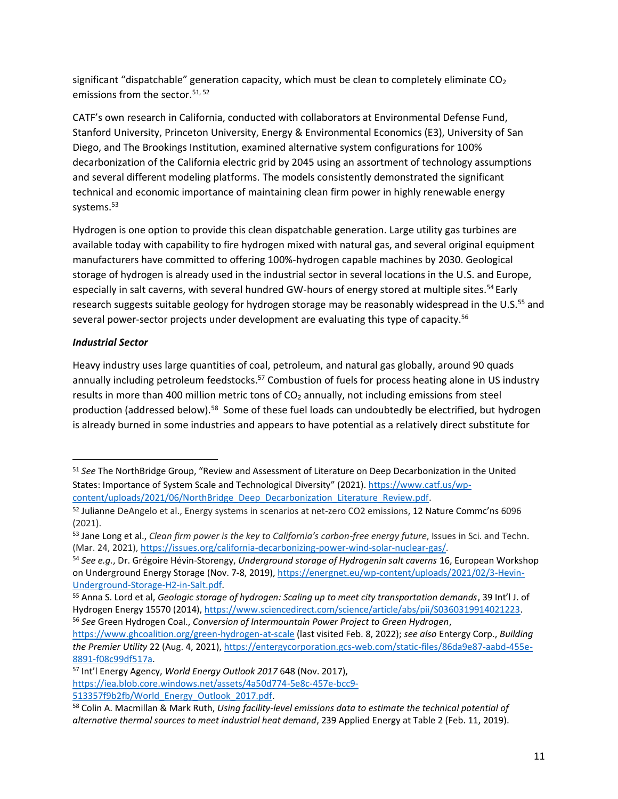significant "dispatchable" generation capacity, which must be clean to completely eliminate  $CO<sub>2</sub>$ emissions from the sector. 51, 52

CATF's own research in California, conducted with collaborators at Environmental Defense Fund, Stanford University, Princeton University, Energy & Environmental Economics (E3), University of San Diego, and The Brookings Institution, examined alternative system configurations for 100% decarbonization of the California electric grid by 2045 using an assortment of technology assumptions and several different modeling platforms. The models consistently demonstrated the significant technical and economic importance of maintaining clean firm power in highly renewable energy systems. 53

Hydrogen is one option to provide this clean dispatchable generation. Large utility gas turbines are available today with capability to fire hydrogen mixed with natural gas, and several original equipment manufacturers have committed to offering 100%-hydrogen capable machines by 2030. Geological storage of hydrogen is already used in the industrial sector in several locations in the U.S. and Europe, especially in salt caverns, with several hundred GW-hours of energy stored at multiple sites.<sup>54</sup> Early research suggests suitable geology for hydrogen storage may be reasonably widespread in the U.S.<sup>55</sup> and several power-sector projects under development are evaluating this type of capacity.<sup>56</sup>

### *Industrial Sector*

Heavy industry uses large quantities of coal, petroleum, and natural gas globally, around 90 quads annually including petroleum feedstocks.<sup>57</sup> Combustion of fuels for process heating alone in US industry results in more than 400 million metric tons of  $CO<sub>2</sub>$  annually, not including emissions from steel production (addressed below).<sup>58</sup> Some of these fuel loads can undoubtedly be electrified, but hydrogen is already burned in some industries and appears to have potential as a relatively direct substitute for

[https://iea.blob.core.windows.net/assets/4a50d774-5e8c-457e-bcc9-](https://iea.blob.core.windows.net/assets/4a50d774-5e8c-457e-bcc9-513357f9b2fb/World_Energy_Outlook_2017.pdf) [513357f9b2fb/World\\_Energy\\_Outlook\\_2017.pdf.](https://iea.blob.core.windows.net/assets/4a50d774-5e8c-457e-bcc9-513357f9b2fb/World_Energy_Outlook_2017.pdf)

<sup>51</sup> *See* The NorthBridge Group, "Review and Assessment of Literature on Deep Decarbonization in the United States: Importance of System Scale and Technological Diversity" (2021). [https://www.catf.us/wp](https://www.catf.us/wp-content/uploads/2021/06/NorthBridge_Deep_Decarbonization_Literature_Review.pdf)[content/uploads/2021/06/NorthBridge\\_Deep\\_Decarbonization\\_Literature\\_Review.pdf.](https://www.catf.us/wp-content/uploads/2021/06/NorthBridge_Deep_Decarbonization_Literature_Review.pdf)

<sup>52</sup> Julianne DeAngelo et al., Energy systems in scenarios at net-zero CO2 emissions, 12 Nature Commc'ns 6096 (2021).

<sup>53</sup> Jane Long et al., *Clean firm power is the key to California's carbon-free energy future*, Issues in Sci. and Techn. (Mar. 24, 2021)[, https://issues.org/california-decarbonizing-power-wind-solar-nuclear-gas/.](https://issues.org/california-decarbonizing-power-wind-solar-nuclear-gas/)

<sup>54</sup> *See e.g.*, Dr. Grégoire Hévin-Storengy, *Underground storage of Hydrogenin salt caverns* 16, European Workshop on Underground Energy Storage (Nov. 7-8, 2019), [https://energnet.eu/wp-content/uploads/2021/02/3-Hevin-](https://energnet.eu/wp-content/uploads/2021/02/3-Hevin-Underground-Storage-H2-in-Salt.pdf)[Underground-Storage-H2-in-Salt.pdf.](https://energnet.eu/wp-content/uploads/2021/02/3-Hevin-Underground-Storage-H2-in-Salt.pdf)

<sup>55</sup> Anna S. Lord et al, *Geologic storage of hydrogen: Scaling up to meet city transportation demands*, 39 Int'l J. of Hydrogen Energy 15570 (2014), [https://www.sciencedirect.com/science/article/abs/pii/S0360319914021223.](https://www.sciencedirect.com/science/article/abs/pii/S0360319914021223) <sup>56</sup> *See* Green Hydrogen Coal., *Conversion of Intermountain Power Project to Green Hydrogen*,

<https://www.ghcoalition.org/green-hydrogen-at-scale> (last visited Feb. 8, 2022); *see also* Entergy Corp., *Building the Premier Utility* 22 (Aug. 4, 2021), [https://entergycorporation.gcs-web.com/static-files/86da9e87-aabd-455e-](https://entergycorporation.gcs-web.com/static-files/86da9e87-aabd-455e-8891-f08c99df517a)[8891-f08c99df517a.](https://entergycorporation.gcs-web.com/static-files/86da9e87-aabd-455e-8891-f08c99df517a)

<sup>57</sup> Int'l Energy Agency, *World Energy Outlook 2017* 648 (Nov. 2017),

<sup>58</sup> Colin A. Macmillan & Mark Ruth, *Using facility-level emissions data to estimate the technical potential of alternative thermal sources to meet industrial heat demand*, 23[9 Applied Energy](https://www.sciencedirect.com/science/journal/03062619) at Table 2 (Feb. 11, 2019).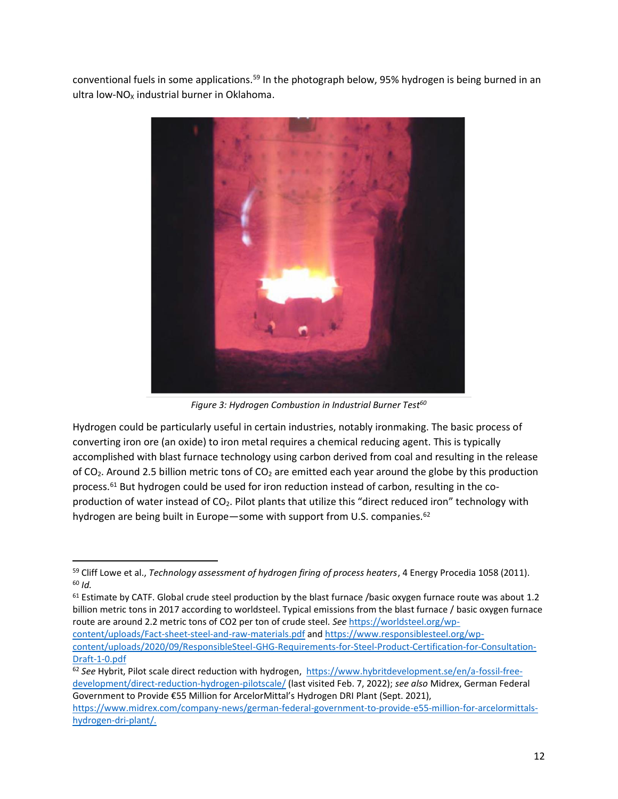conventional fuels in some applications.<sup>59</sup> In the photograph below, 95% hydrogen is being burned in an ultra low-NO<sub>x</sub> industrial burner in Oklahoma.



*Figure 3: Hydrogen Combustion in Industrial Burner Test<sup>60</sup>*

Hydrogen could be particularly useful in certain industries, notably ironmaking. The basic process of converting iron ore (an oxide) to iron metal requires a chemical reducing agent. This is typically accomplished with blast furnace technology using carbon derived from coal and resulting in the release of  $CO<sub>2</sub>$ . Around 2.5 billion metric tons of  $CO<sub>2</sub>$  are emitted each year around the globe by this production process.<sup>61</sup> But hydrogen could be used for iron reduction instead of carbon, resulting in the coproduction of water instead of CO2. Pilot plants that utilize this "direct reduced iron" technology with hydrogen are being built in Europe—some with support from U.S. companies.<sup>62</sup>

[content/uploads/Fact-sheet-steel-and-raw-materials.pdf](https://worldsteel.org/wp-content/uploads/Fact-sheet-steel-and-raw-materials.pdf) and [https://www.responsiblesteel.org/wp](https://www.responsiblesteel.org/wp-content/uploads/2020/09/ResponsibleSteel-GHG-Requirements-for-Steel-Product-Certification-for-Consultation-Draft-1-0.pdf)[content/uploads/2020/09/ResponsibleSteel-GHG-Requirements-for-Steel-Product-Certification-for-Consultation-](https://www.responsiblesteel.org/wp-content/uploads/2020/09/ResponsibleSteel-GHG-Requirements-for-Steel-Product-Certification-for-Consultation-Draft-1-0.pdf)[Draft-1-0.pdf](https://www.responsiblesteel.org/wp-content/uploads/2020/09/ResponsibleSteel-GHG-Requirements-for-Steel-Product-Certification-for-Consultation-Draft-1-0.pdf)

<sup>59</sup> Cliff Lowe et al., *Technology assessment of hydrogen firing of process heaters*, 4 Energy Procedia 1058 (2011). <sup>60</sup> *Id.*

<sup>&</sup>lt;sup>61</sup> Estimate by CATF. Global crude steel production by the blast furnace /basic oxygen furnace route was about 1.2 billion metric tons in 2017 according to worldsteel. Typical emissions from the blast furnace / basic oxygen furnace route are around 2.2 metric tons of CO2 per ton of crude steel. *See* [https://worldsteel.org/wp-](https://worldsteel.org/wp-content/uploads/Fact-sheet-steel-and-raw-materials.pdf)

<sup>62</sup> *See* Hybrit, Pilot scale direct reduction with hydrogen, [https://www.hybritdevelopment.se/en/a-fossil-free](https://www.hybritdevelopment.se/en/a-fossil-free-development/direct-reduction-hydrogen-pilotscale/)[development/direct-reduction-hydrogen-pilotscale/](https://www.hybritdevelopment.se/en/a-fossil-free-development/direct-reduction-hydrogen-pilotscale/) (last visited Feb. 7, 2022); *see also* Midrex, German Federal Government to Provide €55 Million for ArcelorMittal's Hydrogen DRI Plant (Sept. 2021), [https://www.midrex.com/company-news/german-federal-government-to-provide-e55-million-for-arcelormittals](https://www.midrex.com/company-news/german-federal-government-to-provide-e55-million-for-arcelormittals-hydrogen-dri-plant/)[hydrogen-dri-plant/.](https://www.midrex.com/company-news/german-federal-government-to-provide-e55-million-for-arcelormittals-hydrogen-dri-plant/)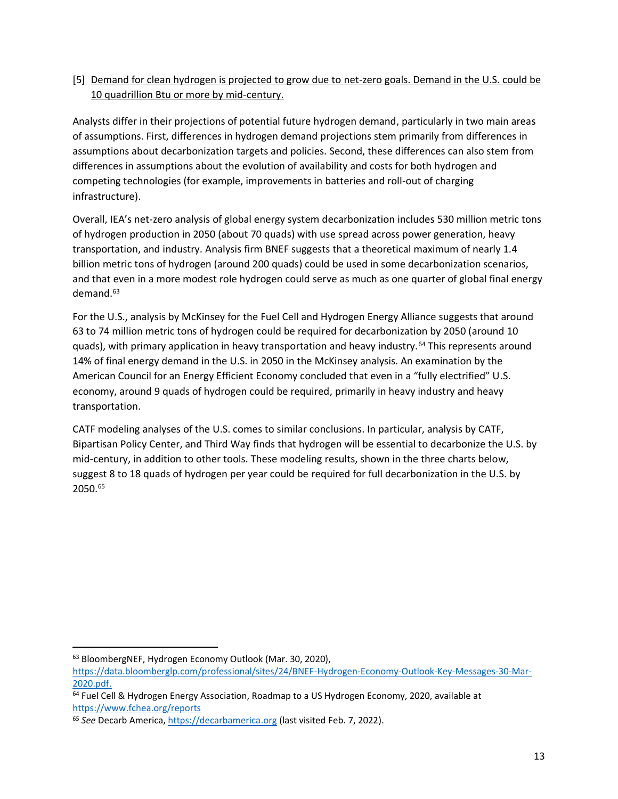# [5] Demand for clean hydrogen is projected to grow due to net-zero goals. Demand in the U.S. could be 10 quadrillion Btu or more by mid-century.

Analysts differ in their projections of potential future hydrogen demand, particularly in two main areas of assumptions. First, differences in hydrogen demand projections stem primarily from differences in assumptions about decarbonization targets and policies. Second, these differences can also stem from differences in assumptions about the evolution of availability and costs for both hydrogen and competing technologies (for example, improvements in batteries and roll-out of charging infrastructure).

Overall, IEA's net-zero analysis of global energy system decarbonization includes 530 million metric tons of hydrogen production in 2050 (about 70 quads) with use spread across power generation, heavy transportation, and industry. Analysis firm BNEF suggests that a theoretical maximum of nearly 1.4 billion metric tons of hydrogen (around 200 quads) could be used in some decarbonization scenarios, and that even in a more modest role hydrogen could serve as much as one quarter of global final energy demand. $63$ 

For the U.S., analysis by McKinsey for the Fuel Cell and Hydrogen Energy Alliance suggests that around 63 to 74 million metric tons of hydrogen could be required for decarbonization by 2050 (around 10 quads), with primary application in heavy transportation and heavy industry.<sup>64</sup> This represents around 14% of final energy demand in the U.S. in 2050 in the McKinsey analysis. An examination by the American Council for an Energy Efficient Economy concluded that even in a "fully electrified" U.S. economy, around 9 quads of hydrogen could be required, primarily in heavy industry and heavy transportation.

CATF modeling analyses of the U.S. comes to similar conclusions. In particular, analysis by CATF, Bipartisan Policy Center, and Third Way finds that hydrogen will be essential to decarbonize the U.S. by mid-century, in addition to other tools. These modeling results, shown in the three charts below, suggest 8 to 18 quads of hydrogen per year could be required for full decarbonization in the U.S. by 2050.<sup>65</sup>

<sup>63</sup> BloombergNEF, Hydrogen Economy Outlook (Mar. 30, 2020),

[https://data.bloomberglp.com/professional/sites/24/BNEF-Hydrogen-Economy-Outlook-Key-Messages-30-Mar-](https://data.bloomberglp.com/professional/sites/24/BNEF-Hydrogen-Economy-Outlook-Key-Messages-30-Mar-2020.pdf)[2020.pdf.](https://data.bloomberglp.com/professional/sites/24/BNEF-Hydrogen-Economy-Outlook-Key-Messages-30-Mar-2020.pdf)

<sup>&</sup>lt;sup>64</sup> Fuel Cell & Hydrogen Energy Association, Roadmap to a US Hydrogen Economy, 2020, available at <https://www.fchea.org/reports>

<sup>65</sup> *See* Decarb America, [https://decarbamerica.org](https://decarbamerica.org/) (last visited Feb. 7, 2022).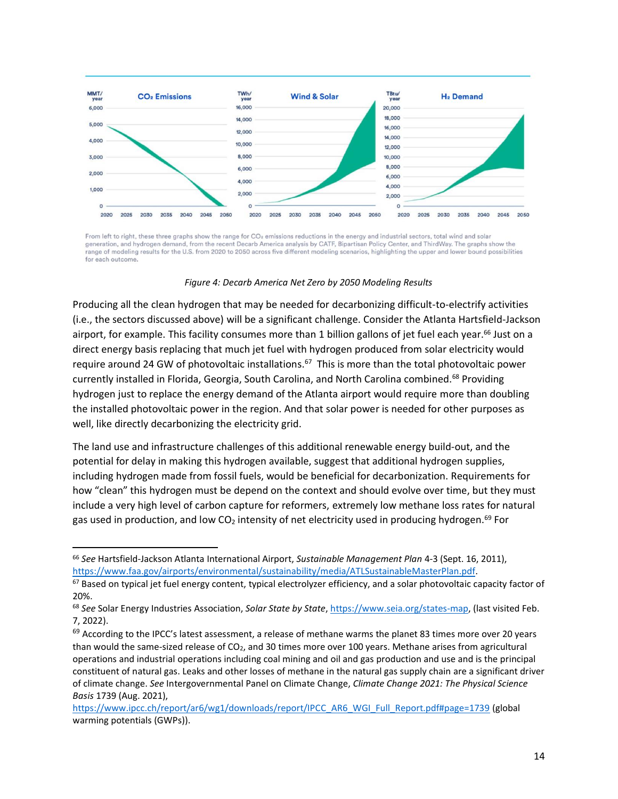

From left to right, these three graphs show the range for CO<sub>2</sub> emissions reductions in the energy and industrial sectors, total wind and solar generation, and hydrogen demand, from the recent Decarb America analysis by CATF, Bipartisan Policy Center, and ThirdWay. The graphs show the range of modeling results for the U.S. from 2020 to 2050 across five different modeling scenarios, highlighting the upper and lower bound possibilities for each outcome.

*Figure 4: Decarb America Net Zero by 2050 Modeling Results* 

Producing all the clean hydrogen that may be needed for decarbonizing difficult-to-electrify activities (i.e., the sectors discussed above) will be a significant challenge. Consider the Atlanta Hartsfield-Jackson airport, for example. This facility consumes more than 1 billion gallons of jet fuel each year.<sup>66</sup> Just on a direct energy basis replacing that much jet fuel with hydrogen produced from solar electricity would require around 24 GW of photovoltaic installations.<sup>67</sup> This is more than the total photovoltaic power currently installed in Florida, Georgia, South Carolina, and North Carolina combined.<sup>68</sup> Providing hydrogen just to replace the energy demand of the Atlanta airport would require more than doubling the installed photovoltaic power in the region. And that solar power is needed for other purposes as well, like directly decarbonizing the electricity grid.

The land use and infrastructure challenges of this additional renewable energy build-out, and the potential for delay in making this hydrogen available, suggest that additional hydrogen supplies, including hydrogen made from fossil fuels, would be beneficial for decarbonization. Requirements for how "clean" this hydrogen must be depend on the context and should evolve over time, but they must include a very high level of carbon capture for reformers, extremely low methane loss rates for natural gas used in production, and low CO<sub>2</sub> intensity of net electricity used in producing hydrogen.<sup>69</sup> For

<sup>66</sup> *See* Hartsfield-Jackson Atlanta International Airport, *Sustainable Management Plan* 4-3 (Sept. 16, 2011), [https://www.faa.gov/airports/environmental/sustainability/media/ATLSustainableMasterPlan.pdf.](https://www.faa.gov/airports/environmental/sustainability/media/ATLSustainableMasterPlan.pdf)

 $67$  Based on typical jet fuel energy content, typical electrolyzer efficiency, and a solar photovoltaic capacity factor of 20%.

<sup>68</sup> *See* Solar Energy Industries Association, *Solar State by State*, [https://www.seia.org/states-map,](https://www.seia.org/states-map) (last visited Feb. 7, 2022).

 $69$  According to the IPCC's latest assessment, a release of methane warms the planet 83 times more over 20 years than would the same-sized release of  $CO<sub>2</sub>$ , and 30 times more over 100 years. Methane arises from agricultural operations and industrial operations including coal mining and oil and gas production and use and is the principal constituent of natural gas. Leaks and other losses of methane in the natural gas supply chain are a significant driver of climate change. *See* Intergovernmental Panel on Climate Change, *Climate Change 2021: The Physical Science Basis* 1739 (Aug. 2021),

[https://www.ipcc.ch/report/ar6/wg1/downloads/report/IPCC\\_AR6\\_WGI\\_Full\\_Report.pdf#page=1739](https://www.ipcc.ch/report/ar6/wg1/downloads/report/IPCC_AR6_WGI_Full_Report.pdf#page=1739) (global warming potentials (GWPs)).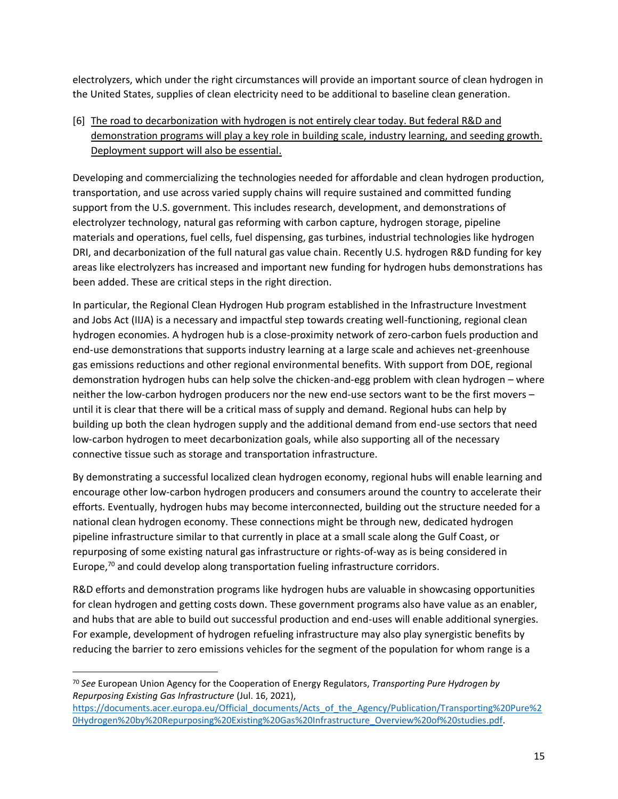electrolyzers, which under the right circumstances will provide an important source of clean hydrogen in the United States, supplies of clean electricity need to be additional to baseline clean generation.

[6] The road to decarbonization with hydrogen is not entirely clear today. But federal R&D and demonstration programs will play a key role in building scale, industry learning, and seeding growth. Deployment support will also be essential.

Developing and commercializing the technologies needed for affordable and clean hydrogen production, transportation, and use across varied supply chains will require sustained and committed funding support from the U.S. government. This includes research, development, and demonstrations of electrolyzer technology, natural gas reforming with carbon capture, hydrogen storage, pipeline materials and operations, fuel cells, fuel dispensing, gas turbines, industrial technologies like hydrogen DRI, and decarbonization of the full natural gas value chain. Recently U.S. hydrogen R&D funding for key areas like electrolyzers has increased and important new funding for hydrogen hubs demonstrations has been added. These are critical steps in the right direction.

In particular, the Regional Clean Hydrogen Hub program established in the Infrastructure Investment and Jobs Act (IIJA) is a necessary and impactful step towards creating well-functioning, regional clean hydrogen economies. A hydrogen hub is a close-proximity network of zero-carbon fuels production and end-use demonstrations that supports industry learning at a large scale and achieves net-greenhouse gas emissions reductions and other regional environmental benefits. With support from DOE, regional demonstration hydrogen hubs can help solve the chicken-and-egg problem with clean hydrogen – where neither the low-carbon hydrogen producers nor the new end-use sectors want to be the first movers – until it is clear that there will be a critical mass of supply and demand. Regional hubs can help by building up both the clean hydrogen supply and the additional demand from end-use sectors that need low-carbon hydrogen to meet decarbonization goals, while also supporting all of the necessary connective tissue such as storage and transportation infrastructure.

By demonstrating a successful localized clean hydrogen economy, regional hubs will enable learning and encourage other low-carbon hydrogen producers and consumers around the country to accelerate their efforts. Eventually, hydrogen hubs may become interconnected, building out the structure needed for a national clean hydrogen economy. These connections might be through new, dedicated hydrogen pipeline infrastructure similar to that currently in place at a small scale along the Gulf Coast, or repurposing of some existing natural gas infrastructure or rights-of-way as is being considered in Europe, <sup>70</sup> and could develop along transportation fueling infrastructure corridors.

R&D efforts and demonstration programs like hydrogen hubs are valuable in showcasing opportunities for clean hydrogen and getting costs down. These government programs also have value as an enabler, and hubs that are able to build out successful production and end-uses will enable additional synergies. For example, development of hydrogen refueling infrastructure may also play synergistic benefits by reducing the barrier to zero emissions vehicles for the segment of the population for whom range is a

<sup>70</sup> *See* European Union Agency for the Cooperation of Energy Regulators, *Transporting Pure Hydrogen by Repurposing Existing Gas Infrastructure* (Jul. 16, 2021),

[https://documents.acer.europa.eu/Official\\_documents/Acts\\_of\\_the\\_Agency/Publication/Transporting%20Pure%2](https://documents.acer.europa.eu/Official_documents/Acts_of_the_Agency/Publication/Transporting%20Pure%20Hydrogen%20by%20Repurposing%20Existing%20Gas%20Infrastructure_Overview%20of%20studies.pdf) [0Hydrogen%20by%20Repurposing%20Existing%20Gas%20Infrastructure\\_Overview%20of%20studies.pdf.](https://documents.acer.europa.eu/Official_documents/Acts_of_the_Agency/Publication/Transporting%20Pure%20Hydrogen%20by%20Repurposing%20Existing%20Gas%20Infrastructure_Overview%20of%20studies.pdf)